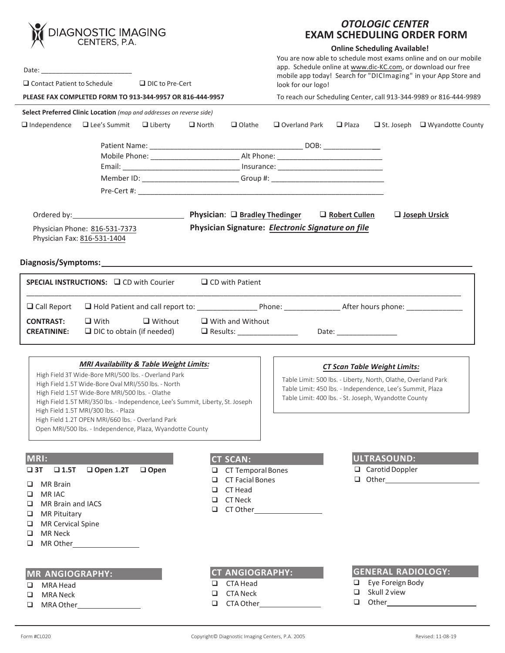| <b>DIAGNOSTIC IMAGING</b><br>CENTERS, P.A.<br>$\Box$ Contact Patient to Schedule<br>$\Box$ DIC to Pre-Cert |                                                                                           |                |                                                                                  |                                                                   | <b>OTOLOGIC CENTER</b><br><b>EXAM SCHEDULING ORDER FORM</b>                                                                                                                                                                                                      |                           |                                               |                                           |  |
|------------------------------------------------------------------------------------------------------------|-------------------------------------------------------------------------------------------|----------------|----------------------------------------------------------------------------------|-------------------------------------------------------------------|------------------------------------------------------------------------------------------------------------------------------------------------------------------------------------------------------------------------------------------------------------------|---------------------------|-----------------------------------------------|-------------------------------------------|--|
|                                                                                                            |                                                                                           |                |                                                                                  |                                                                   | <b>Online Scheduling Available!</b><br>You are now able to schedule most exams online and on our mobile<br>app. Schedule online at www.dic-KC.com, or download our free<br>mobile app today! Search for "DICImaging" in your App Store and<br>look for our logo! |                           |                                               |                                           |  |
|                                                                                                            | PLEASE FAX COMPLETED FORM TO 913-344-9957 OR 816-444-9957                                 |                |                                                                                  | To reach our Scheduling Center, call 913-344-9989 or 816-444-9989 |                                                                                                                                                                                                                                                                  |                           |                                               |                                           |  |
|                                                                                                            | Select Preferred Clinic Location (map and addresses on reverse side)                      |                |                                                                                  |                                                                   |                                                                                                                                                                                                                                                                  |                           |                                               |                                           |  |
| $\Box$ Independence $\Box$ Lee's Summit $\Box$ Liberty                                                     |                                                                                           |                | $\Box$ North                                                                     | $\Box$ Olathe                                                     | $\Box$ Overland Park                                                                                                                                                                                                                                             | $\Box$ Plaza              |                                               | $\Box$ St. Joseph $\Box$ Wyandotte County |  |
|                                                                                                            |                                                                                           |                |                                                                                  |                                                                   |                                                                                                                                                                                                                                                                  |                           |                                               |                                           |  |
|                                                                                                            |                                                                                           |                |                                                                                  |                                                                   |                                                                                                                                                                                                                                                                  |                           |                                               |                                           |  |
|                                                                                                            |                                                                                           |                |                                                                                  |                                                                   |                                                                                                                                                                                                                                                                  |                           |                                               |                                           |  |
|                                                                                                            |                                                                                           |                | Member ID: ___________________________Group #: _________________________________ |                                                                   |                                                                                                                                                                                                                                                                  |                           |                                               |                                           |  |
|                                                                                                            |                                                                                           |                |                                                                                  |                                                                   |                                                                                                                                                                                                                                                                  |                           |                                               |                                           |  |
|                                                                                                            |                                                                                           |                |                                                                                  |                                                                   |                                                                                                                                                                                                                                                                  | $\Box$ Robert Cullen      |                                               | <b>Joseph Ursick</b>                      |  |
|                                                                                                            | Physician Phone: 816-531-7373<br>Physician Fax: 816-531-1404                              |                |                                                                                  |                                                                   | Physician Signature: Electronic Signature on file                                                                                                                                                                                                                |                           |                                               |                                           |  |
|                                                                                                            |                                                                                           |                |                                                                                  |                                                                   |                                                                                                                                                                                                                                                                  |                           |                                               |                                           |  |
|                                                                                                            |                                                                                           |                |                                                                                  |                                                                   |                                                                                                                                                                                                                                                                  |                           |                                               |                                           |  |
|                                                                                                            | SPECIAL INSTRUCTIONS: □ CD with Courier                                                   |                |                                                                                  | $\Box$ CD with Patient                                            |                                                                                                                                                                                                                                                                  |                           |                                               |                                           |  |
| $\Box$ Call Report                                                                                         |                                                                                           |                |                                                                                  |                                                                   |                                                                                                                                                                                                                                                                  |                           |                                               |                                           |  |
| <b>CONTRAST:</b>                                                                                           | $\Box$ With                                                                               | $\Box$ Without |                                                                                  | $\Box$ With and Without                                           |                                                                                                                                                                                                                                                                  |                           |                                               |                                           |  |
| <b>CREATININE:</b>                                                                                         | $\Box$ DIC to obtain (if needed)                                                          |                |                                                                                  |                                                                   | □ Results: __________________                                                                                                                                                                                                                                    | Date: ___________________ |                                               |                                           |  |
|                                                                                                            |                                                                                           |                |                                                                                  |                                                                   |                                                                                                                                                                                                                                                                  |                           |                                               |                                           |  |
|                                                                                                            |                                                                                           |                |                                                                                  |                                                                   |                                                                                                                                                                                                                                                                  |                           |                                               |                                           |  |
| <b>MRI Availability &amp; Table Weight Limits:</b><br>High Field 3T Wide-Bore MRI/500 lbs. - Overland Park |                                                                                           |                |                                                                                  |                                                                   | <b>CT Scan Table Weight Limits:</b><br>Table Limit: 500 lbs. - Liberty, North, Olathe, Overland Park                                                                                                                                                             |                           |                                               |                                           |  |
| High Field 1.5T Wide-Bore Oval MRI/550 lbs. - North<br>High Field 1.5T Wide-Bore MRI/500 lbs. - Olathe     |                                                                                           |                |                                                                                  |                                                                   | Table Limit: 450 lbs. - Independence, Lee's Summit, Plaza                                                                                                                                                                                                        |                           |                                               |                                           |  |
| High Field 1.5T MRI/350 lbs. - Independence, Lee's Summit, Liberty, St. Joseph                             |                                                                                           |                |                                                                                  |                                                                   | Table Limit: 400 lbs. - St. Joseph, Wyandotte County                                                                                                                                                                                                             |                           |                                               |                                           |  |
|                                                                                                            | High Field 1.5T MRI/300 lbs. - Plaza<br>High Field 1.2T OPEN MRI/660 lbs. - Overland Park |                |                                                                                  |                                                                   |                                                                                                                                                                                                                                                                  |                           |                                               |                                           |  |
|                                                                                                            | Open MRI/500 lbs. - Independence, Plaza, Wyandotte County                                 |                |                                                                                  |                                                                   |                                                                                                                                                                                                                                                                  |                           |                                               |                                           |  |
|                                                                                                            |                                                                                           |                |                                                                                  |                                                                   |                                                                                                                                                                                                                                                                  |                           |                                               |                                           |  |
| MRI:<br><b>CT SCAN:</b>                                                                                    |                                                                                           |                |                                                                                  |                                                                   |                                                                                                                                                                                                                                                                  |                           | ULTRASOUND:                                   |                                           |  |
| $\square$ 3T<br>$\Box$ 1.5T                                                                                | $\Box$ Open                                                                               | □              | <b>CT Temporal Bones</b>                                                         |                                                                   |                                                                                                                                                                                                                                                                  | $\Box$ Carotid Doppler    |                                               |                                           |  |
| <b>MR</b> Brain<br>u.                                                                                      |                                                                                           |                | □                                                                                | <b>CT Facial Bones</b>                                            |                                                                                                                                                                                                                                                                  |                           |                                               |                                           |  |
| <b>MRIAC</b><br>⊔                                                                                          |                                                                                           |                | □<br>□                                                                           | CT Head<br><b>CT Neck</b>                                         |                                                                                                                                                                                                                                                                  |                           |                                               |                                           |  |
| MR Brain and IACS<br>❏<br><b>MR Pituitary</b><br>⊔                                                         |                                                                                           |                | □                                                                                |                                                                   |                                                                                                                                                                                                                                                                  |                           |                                               |                                           |  |
| <b>MR Cervical Spine</b><br>⊔                                                                              |                                                                                           |                |                                                                                  |                                                                   |                                                                                                                                                                                                                                                                  |                           |                                               |                                           |  |
| MR Neck<br>❏                                                                                               |                                                                                           |                |                                                                                  |                                                                   |                                                                                                                                                                                                                                                                  |                           |                                               |                                           |  |
| □                                                                                                          |                                                                                           |                |                                                                                  |                                                                   |                                                                                                                                                                                                                                                                  |                           |                                               |                                           |  |
|                                                                                                            |                                                                                           |                |                                                                                  |                                                                   |                                                                                                                                                                                                                                                                  |                           |                                               |                                           |  |
| <b>MR ANGIOGRAPHY:</b>                                                                                     |                                                                                           |                | □                                                                                | <b>CT ANGIOGRAPHY:</b><br>CTA Head                                |                                                                                                                                                                                                                                                                  | □.                        | <b>GENERAL RADIOLOGY:</b><br>Eye Foreign Body |                                           |  |
| MRA Head<br>⊔<br><b>MRA Neck</b><br>❏                                                                      |                                                                                           |                | <b>CTA Neck</b><br>□                                                             |                                                                   |                                                                                                                                                                                                                                                                  | □                         | Skull 2 view                                  |                                           |  |
| □                                                                                                          |                                                                                           |                | □                                                                                |                                                                   | CTA Other <b>CTA</b>                                                                                                                                                                                                                                             | □                         |                                               |                                           |  |
|                                                                                                            |                                                                                           |                |                                                                                  |                                                                   |                                                                                                                                                                                                                                                                  |                           |                                               |                                           |  |